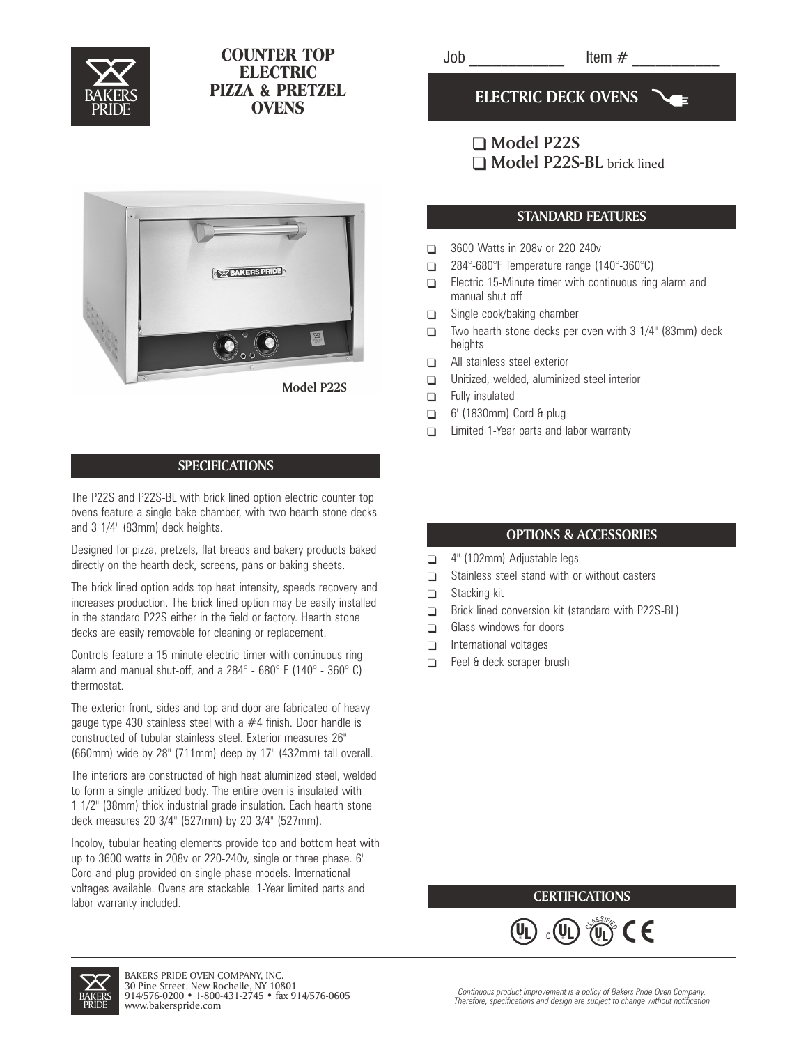

# COUNTER TOP ELECTRIC PIZZA & PRETZEL **OVENS**

 $Job$   $Item \#$ 

**ELECTRIC DECK OVENS**

# **Model P22S** ■ **Model P22S-BL** brick lined

### **STANDARD FEATURES**

- $\Box$ 3600 Watts in 208v or 220-240v
- $\Box$ 284°-680°F Temperature range (140°-360°C)
- $\Box$ Electric 15-Minute timer with continuous ring alarm and manual shut-off
- $\Box$ Single cook/baking chamber
- $\Box$ Two hearth stone decks per oven with 3 1/4" (83mm) deck heights
- $\Box$ All stainless steel exterior
- $\Box$ Unitized, welded, aluminized steel interior
- $\Box$ Fully insulated
- $\Box$ 6' (1830mm) Cord & plug
- $\Box$ Limited 1-Year parts and labor warranty

# **OPTIONS & ACCESSORIES**

- $\Box$ 4" (102mm) Adjustable legs
- $\Box$ Stainless steel stand with or without casters
- $\Box$ Stacking kit
- $\Box$ Brick lined conversion kit (standard with P22S-BL)
- $\Box$ Glass windows for doors
- $\Box$ International voltages
- $\Box$ Peel & deck scraper brush

## **CERTIFICATIONS**

 $\epsilon$ 

 $\widehat{\mathfrak{g}}$  ,  $\widehat{\mathfrak{g}}$  ,  $\widehat{\mathfrak{g}}$  ,  $\widehat{\mathfrak{g}}$  $_{\rm c}$  (VL)  $\degree$ (U  $\left(\mathsf{U}\right)$   $\langle\mathsf{U}\rangle$ ® L

U





### **SPECIFICATIONS**

The P22S and P22S-BL with brick lined option electric counter top ovens feature a single bake chamber, with two hearth stone decks and 3 1/4" (83mm) deck heights.

Designed for pizza, pretzels, flat breads and bakery products baked directly on the hearth deck, screens, pans or baking sheets.

The brick lined option adds top heat intensity, speeds recovery and increases production. The brick lined option may be easily installed in the standard P22S either in the field or factory. Hearth stone decks are easily removable for cleaning or replacement.

Controls feature a 15 minute electric timer with continuous ring alarm and manual shut-off, and a  $284^\circ$  -  $680^\circ$  F (140 $^\circ$  -  $360^\circ$  C) thermostat.

The exterior front, sides and top and door are fabricated of heavy gauge type 430 stainless steel with a #4 finish. Door handle is constructed of tubular stainless steel. Exterior measures 26" (660mm) wide by 28" (711mm) deep by 17" (432mm) tall overall.

The interiors are constructed of high heat aluminized steel, welded to form a single unitized body. The entire oven is insulated with 1 1/2" (38mm) thick industrial grade insulation. Each hearth stone deck measures 20 3/4" (527mm) by 20 3/4" (527mm).

Incoloy, tubular heating elements provide top and bottom heat with up to 3600 watts in 208v or 220-240v, single or three phase. 6' Cord and plug provided on single-phase models. International voltages available. Ovens are stackable. 1-Year limited parts and labor warranty included.